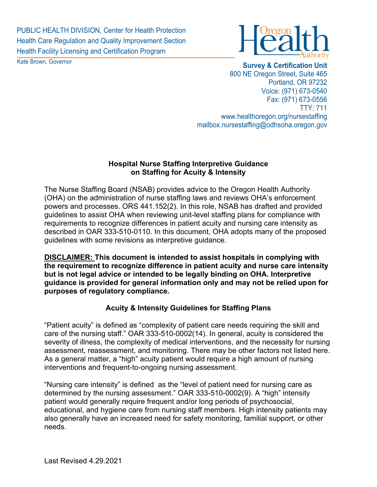PUBLIC HEALTH DIVISION, Center for Health Protection Health Care Regulation and Quality Improvement Section Health Facility Licensing and Certification Program

Kate Brown, Governor



**Survey & Certification Unit**  800 NE Oregon Street, Suite 465 Portland, OR 97232 Voice: (971) 673-0540 Fax: (971) 673-0556 TTY: 711 www.healthoregon.org/nursestaffing mailbox.nursestaffing@odhsoha.oregon.gov

## **Hospital Nurse Staffing Interpretive Guidance on Staffing for Acuity & Intensity**

The Nurse Staffing Board (NSAB) provides advice to the Oregon Health Authority (OHA) on the administration of nurse staffing laws and reviews OHA's enforcement powers and processes. ORS 441.152(2). In this role, NSAB has drafted and provided guidelines to assist OHA when reviewing unit-level staffing plans for compliance with requirements to recognize differences in patient acuity and nursing care intensity as described in OAR 333-510-0110. In this document, OHA adopts many of the proposed guidelines with some revisions as interpretive guidance.

**DISCLAIMER: This document is intended to assist hospitals in complying with the requirement to recognize difference in patient acuity and nurse care intensity but is not legal advice or intended to be legally binding on OHA. Interpretive guidance is provided for general information only and may not be relied upon for purposes of regulatory compliance.**

## **Acuity & Intensity Guidelines for Staffing Plans**

"Patient acuity" is defined as "complexity of patient care needs requiring the skill and care of the nursing staff." OAR 333-510-0002(14). In general, acuity is considered the severity of illness, the complexity of medical interventions, and the necessity for nursing assessment, reassessment, and monitoring. There may be other factors not listed here. As a general matter, a "high" acuity patient would require a high amount of nursing interventions and frequent-to-ongoing nursing assessment.

"Nursing care intensity" is defined as the "level of patient need for nursing care as determined by the nursing assessment." OAR 333-510-0002(9). A "high" intensity patient would generally require frequent and/or long periods of psychosocial, educational, and hygiene care from nursing staff members. High intensity patients may also generally have an increased need for safety monitoring, familial support, or other needs.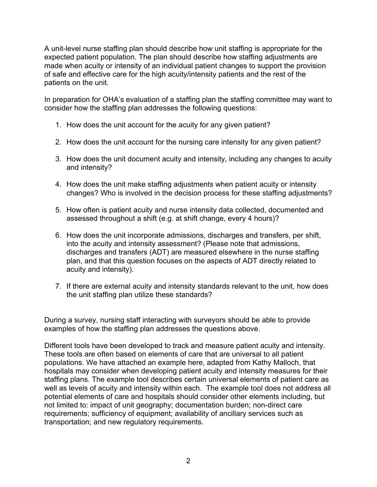A unit-level nurse staffing plan should describe how unit staffing is appropriate for the expected patient population. The plan should describe how staffing adjustments are made when acuity or intensity of an individual patient changes to support the provision of safe and effective care for the high acuity/intensity patients and the rest of the patients on the unit.

In preparation for OHA's evaluation of a staffing plan the staffing committee may want to consider how the staffing plan addresses the following questions:

- 1. How does the unit account for the acuity for any given patient?
- 2. How does the unit account for the nursing care intensity for any given patient?
- 3. How does the unit document acuity and intensity, including any changes to acuity and intensity?
- 4. How does the unit make staffing adjustments when patient acuity or intensity changes? Who is involved in the decision process for these staffing adjustments?
- 5. How often is patient acuity and nurse intensity data collected, documented and assessed throughout a shift (e.g. at shift change, every 4 hours)?
- 6. How does the unit incorporate admissions, discharges and transfers, per shift, into the acuity and intensity assessment? (Please note that admissions, discharges and transfers (ADT) are measured elsewhere in the nurse staffing plan, and that this question focuses on the aspects of ADT directly related to acuity and intensity).
- 7. If there are external acuity and intensity standards relevant to the unit, how does the unit staffing plan utilize these standards?

During a survey, nursing staff interacting with surveyors should be able to provide examples of how the staffing plan addresses the questions above.

Different tools have been developed to track and measure patient acuity and intensity. These tools are often based on elements of care that are universal to all patient populations. We have attached an example here, adapted from Kathy Malloch, that hospitals may consider when developing patient acuity and intensity measures for their staffing plans. The example tool describes certain universal elements of patient care as well as levels of acuity and intensity within each. The example tool does not address all potential elements of care and hospitals should consider other elements including, but not limited to: impact of unit geography; documentation burden; non-direct care requirements; sufficiency of equipment; availability of ancillary services such as transportation; and new regulatory requirements.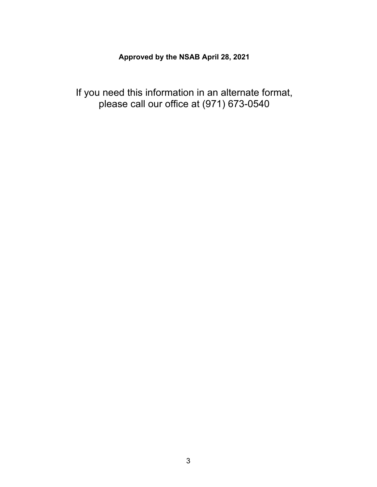## **Approved by the NSAB April 28, 2021**

If you need this information in an alternate format, please call our office at (971) 673-0540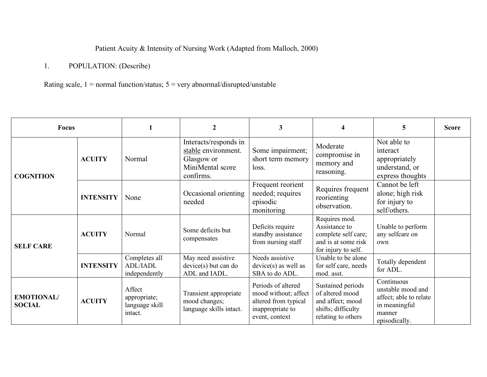Patient Acuity & Intensity of Nursing Work (Adapted from Malloch, 2000)

## 1. POPULATION: (Describe)

Rating scale,  $1 =$  normal function/status;  $5 =$  very abnormal/disrupted/unstable

| Focus                              |                  |                                                     | $\overline{2}$                                                                              | 3                                                                                                        | 4                                                                                                    | 5                                                                                                     | <b>Score</b> |
|------------------------------------|------------------|-----------------------------------------------------|---------------------------------------------------------------------------------------------|----------------------------------------------------------------------------------------------------------|------------------------------------------------------------------------------------------------------|-------------------------------------------------------------------------------------------------------|--------------|
| <b>COGNITION</b>                   | <b>ACUITY</b>    | Normal                                              | Interacts/responds in<br>stable environment.<br>Glasgow or<br>MiniMental score<br>confirms. | Some impairment;<br>short term memory<br>loss.                                                           | Moderate<br>compromise in<br>memory and<br>reasoning.                                                | Not able to<br>interact<br>appropriately<br>understand, or<br>express thoughts                        |              |
|                                    | <b>INTENSITY</b> | None                                                | Occasional orienting<br>needed                                                              | Frequent reorient<br>needed; requires<br>episodic<br>monitoring                                          | Requires frequent<br>reorienting<br>observation.                                                     | Cannot be left<br>alone; high risk<br>for injury to<br>self/others.                                   |              |
| <b>SELF CARE</b>                   | <b>ACUITY</b>    | Normal                                              | Some deficits but<br>compensates                                                            | Deficits require<br>standby assistance<br>from nursing staff                                             | Requires mod.<br>Assistance to<br>complete self care;<br>and is at some risk<br>for injury to self.  | Unable to perform<br>any selfcare on<br>own                                                           |              |
|                                    | <b>INTENSITY</b> | Completes all<br><b>ADL/IADL</b><br>independently   | May need assistive<br>$device(s)$ but can do<br>ADL and IADL.                               | Needs assistive<br>$device(s)$ as well as<br>SBA to do ADL.                                              | Unable to be alone<br>for self care, needs<br>mod. asst.                                             | Totally dependent<br>for ADL.                                                                         |              |
| <b>EMOTIONAL/</b><br><b>SOCIAL</b> | <b>ACUITY</b>    | Affect<br>appropriate;<br>language skill<br>intact. | Transient appropriate<br>mood changes;<br>language skills intact.                           | Periods of altered<br>mood without; affect<br>altered from typical<br>inappropriate to<br>event, context | Sustained periods<br>of altered mood<br>and affect; mood<br>shifts; difficulty<br>relating to others | Continuous<br>unstable mood and<br>affect; able to relate<br>in meaningful<br>manner<br>episodically. |              |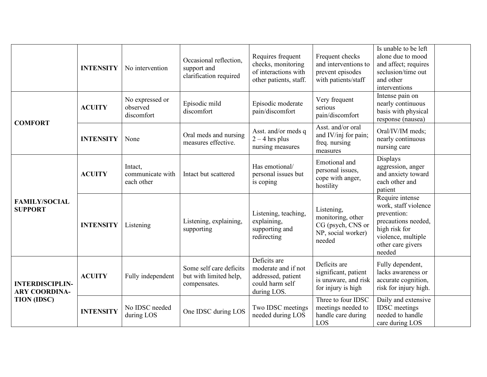|                                                                      | <b>INTENSITY</b> | No intervention                           | Occasional reflection.<br>support and<br>clarification required   | Requires frequent<br>checks, monitoring<br>of interactions with<br>other patients, staff.   | Frequent checks<br>and interventions to<br>prevent episodes<br>with patients/staff   | Is unable to be left<br>alone due to mood<br>and affect; requires<br>seclusion/time out<br>and other<br>interventions                               |
|----------------------------------------------------------------------|------------------|-------------------------------------------|-------------------------------------------------------------------|---------------------------------------------------------------------------------------------|--------------------------------------------------------------------------------------|-----------------------------------------------------------------------------------------------------------------------------------------------------|
| <b>COMFORT</b>                                                       | <b>ACUITY</b>    | No expressed or<br>observed<br>discomfort | Episodic mild<br>discomfort                                       | Episodic moderate<br>pain/discomfort                                                        | Very frequent<br>serious<br>pain/discomfort                                          | Intense pain on<br>nearly continuous<br>basis with physical<br>response (nausea)                                                                    |
|                                                                      | <b>INTENSITY</b> | None                                      | Oral meds and nursing<br>measures effective.                      | Asst. and/or meds q<br>$2 - 4$ hrs plus<br>nursing measures                                 | Asst. and/or oral<br>and IV/inj for pain;<br>freq. nursing<br>measures               | Oral/IV/IM meds;<br>nearly continuous<br>nursing care                                                                                               |
| <b>FAMILY/SOCIAL</b><br><b>SUPPORT</b>                               | <b>ACUITY</b>    | Intact,<br>communicate with<br>each other | Intact but scattered                                              | Has emotional/<br>personal issues but<br>is coping                                          | Emotional and<br>personal issues,<br>cope with anger,<br>hostility                   | Displays<br>aggression, anger<br>and anxiety toward<br>each other and<br>patient                                                                    |
|                                                                      | <b>INTENSITY</b> | Listening                                 | Listening, explaining,<br>supporting                              | Listening, teaching,<br>explaining,<br>supporting and<br>redirecting                        | Listening,<br>monitoring, other<br>CG (psych, CNS or<br>NP, social worker)<br>needed | Require intense<br>work, staff violence<br>prevention:<br>precautions needed,<br>high risk for<br>violence, multiple<br>other care givers<br>needed |
| <b>INTERDISCIPLIN-</b><br><b>ARY COORDINA-</b><br><b>TION (IDSC)</b> | <b>ACUITY</b>    | Fully independent                         | Some self care deficits<br>but with limited help,<br>compensates. | Deficits are<br>moderate and if not<br>addressed, patient<br>could harm self<br>during LOS. | Deficits are<br>significant, patient<br>is unaware, and risk<br>for injury is high   | Fully dependent,<br>lacks awareness or<br>accurate cognition,<br>risk for injury high.                                                              |
|                                                                      | <b>INTENSITY</b> | No IDSC needed<br>during LOS              | One IDSC during LOS                                               | Two IDSC meetings<br>needed during LOS                                                      | Three to four IDSC<br>meetings needed to<br>handle care during<br>LOS                | Daily and extensive<br><b>IDSC</b> meetings<br>needed to handle<br>care during LOS                                                                  |